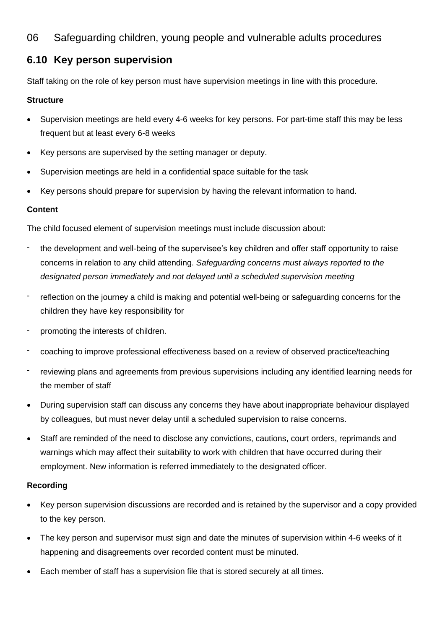## 06 Safeguarding children, young people and vulnerable adults procedures

# **6.10 Key person supervision**

Staff taking on the role of key person must have supervision meetings in line with this procedure.

#### **Structure**

- Supervision meetings are held every 4-6 weeks for key persons. For part-time staff this may be less frequent but at least every 6-8 weeks
- Key persons are supervised by the setting manager or deputy.
- Supervision meetings are held in a confidential space suitable for the task
- Key persons should prepare for supervision by having the relevant information to hand.

## **Content**

The child focused element of supervision meetings must include discussion about:

- the development and well-being of the supervisee's key children and offer staff opportunity to raise concerns in relation to any child attending. *Safeguarding concerns must always reported to the designated person immediately and not delayed until a scheduled supervision meeting*
- reflection on the journey a child is making and potential well-being or safeguarding concerns for the children they have key responsibility for
- promoting the interests of children.
- coaching to improve professional effectiveness based on a review of observed practice/teaching
- reviewing plans and agreements from previous supervisions including any identified learning needs for the member of staff
- During supervision staff can discuss any concerns they have about inappropriate behaviour displayed by colleagues, but must never delay until a scheduled supervision to raise concerns.
- Staff are reminded of the need to disclose any convictions, cautions, court orders, reprimands and warnings which may affect their suitability to work with children that have occurred during their employment. New information is referred immediately to the designated officer.

#### **Recording**

- Key person supervision discussions are recorded and is retained by the supervisor and a copy provided to the key person.
- The key person and supervisor must sign and date the minutes of supervision within 4-6 weeks of it happening and disagreements over recorded content must be minuted.
- Each member of staff has a supervision file that is stored securely at all times.